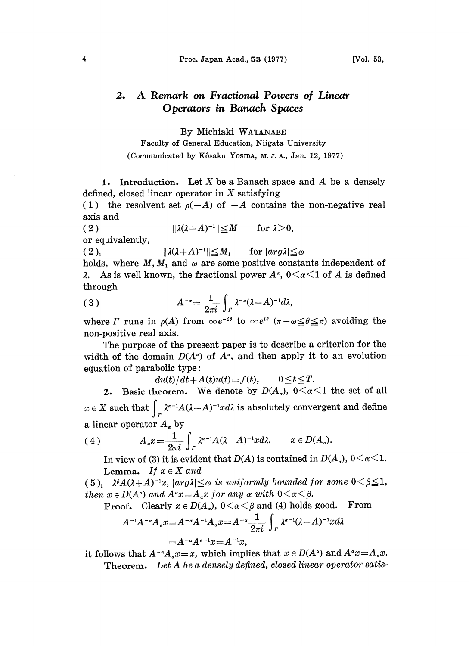## 2. A Remark on Fractional Powers of Linear Operators in Banach Spaces

By Michiaki WATANABE

Faculty of General Education, Niigata University (Communicated by Kôsaku Yosipa, M.J.A., Jan. 12, 1977)

1. Introduction. Let  $X$  be a Banach space and  $A$  be a densely defined, closed linear operator in  $X$  satisfying

(1) the resolvent set  $\rho(-A)$  of  $-A$  contains the non-negative real axis and

( 2 )  $\|\lambda(\lambda+A)^{-1}\| \leq M$  for  $\lambda > 0$ , or equivalently,

( 2 ),  $\|\lambda(\lambda+A)^{-1}\| \le M_1$  for  $|arg \lambda| \le \omega$ 

holds, where  $M$ ,  $M_1$  and  $\omega$  are some positive constants independent of  $\lambda$ . As is well known, the fractional power  $A^{\alpha}$ ,  $0 \le \alpha \le 1$  of A is defined As is well known, the fractional power  $A^{\alpha}$ ,  $0 \leq \alpha \leq 1$  of A is defined through

(3) 
$$
A^{-\alpha} = \frac{1}{2\pi i} \int_{\Gamma} \lambda^{-\alpha} (\lambda - A)^{-1} d\lambda,
$$

where  $\Gamma$  runs in  $\rho(A)$  from  $\infty e^{-i\theta}$  to  $\infty e^{i\theta}$   $(\pi - \omega \leq \theta \leq \pi)$  avoiding the non-positive real axis. non-positive real axis.

The purpose of the present paper is to describe a criterion for the width of the domain  $D(A^{\alpha})$  of  $A^{\alpha}$ , and then apply it to an evolution equation of parabolic type:

 $du(t)/dt + A(t)u(t) = f(t), \qquad 0 \leq t \leq T.$ 

2. Basic theorem. We denote by  $D(A_\alpha)$ ,  $0 \leq \alpha \leq 1$  the set of all X such that  $\int_R \lambda^{a-1} A(\lambda - A)^{-1} x d\lambda$  is absolutely convergent and define a linear operator  $A<sub>x</sub>$  by

(4) 
$$
A_{\alpha}x = \frac{1}{2\pi i} \int_{\Gamma} \lambda^{\alpha-1} A(\lambda - A)^{-1} x d\lambda, \qquad x \in D(A_{\alpha}).
$$

In view of (3) it is evident that  $D(A)$  is contained in  $D(A_{\alpha})$ ,  $0<\alpha<1$ . Lemma. If  $x \in X$  and

(5)<sub>1</sub>  $\lambda^{\beta}A(\lambda+A)^{-1}x$ ,  $|arg\lambda| \leq \omega$  is uniformly bounded for some  $0 < \beta \leq 1$ , then  $x \in D(A^{\alpha})$  and  $A^{\alpha}x = A_{\alpha}x$  for any  $\alpha$  with  $0 < \alpha < \beta$ .

 $x \in D(A^a)$  and  $A^a x = A_a x$  for any  $\alpha$  with  $0 < \alpha < \beta$ .<br>Proof. Clearly  $x \in D(A_a)$ ,  $0 < \alpha < \beta$  and (4) holds good. From

$$
A^{-1}A^{-\alpha}A_{\alpha}x = A^{-\alpha}A^{-1}A_{\alpha}x = A^{-\alpha}\frac{1}{2\pi i}\int_{\Gamma}\lambda^{\alpha-1}(\lambda-A)^{-1}x d\lambda
$$

$$
= A^{-\alpha}A^{\alpha-1}x = A^{-1}x,
$$

it follows that  $A^{-\alpha}A_{\alpha}x=x$ , which implies that  $x \in D(A^{\alpha})$  and  $A^{\alpha}x=A_{\alpha}x$ . Theorem. Let A be a densely defined, closed linear operator satis-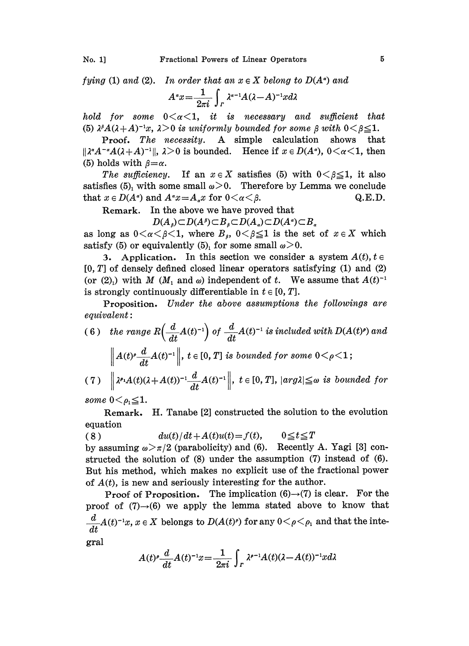fying (1) and (2). In order that an  $x \in X$  belong to  $D(A^{\alpha})$  and

$$
A^{\alpha}x = \frac{1}{2\pi i} \int_{\Gamma} \lambda^{\alpha-1} A(\lambda - A)^{-1} x d\lambda
$$

hold for some  $0 \leq \alpha \leq 1$ , it is necessary and sufficient that (5)  $\lambda^{\beta}A(\lambda+A)^{-1}x$ ,  $\lambda>0$  is uniformly bounded for some  $\beta$  with  $0<\beta\leq 1$ .

Proof. The necessity. A simple calculation shows that  $\|\lambda^{\alpha}A^{-\alpha}A(\lambda+A)^{-1}\|$ ,  $\lambda>0$  is bounded. Hence if  $x \in D(A^{\alpha})$ ,  $0<\alpha<1$ , then (5) holds with  $\beta=\alpha$ .

The sufficiency. If an  $x \in X$  satisfies (5) with  $0 < \beta \leq 1$ , it also satisfies (5), with some small  $\omega > 0$ . Therefore by Lemma we conclude that  $x \in D(A^*)$  and  $A^*x = A_*x$  for  $0 < \alpha < \beta$ .<br>Remark. In the above we have proved that

In the above we have proved that

 $D(A_{\beta})\subset D(A^{\beta})\subset B_{\beta}\subset D(A_{\alpha})\subset D(A^{\alpha})\subset B_{\alpha}$ 

as long as  $0 \lt \alpha \lt \beta \lt 1$ , where  $B_s$ ,  $0 \lt \beta \leq 1$  is the set of  $x \in X$  which satisfy (5) or equivalently (5), for some small  $\omega > 0$ .

3. Application. In this section we consider a system  $A(t)$ ,  $t \in$  $[0, T]$  of densely defined closed linear operators satisfying  $(1)$  and  $(2)$ (or (2)<sub>1</sub>) with M ( $M_1$  and  $\omega$ ) independent of t. We assume that  $A(t)^{-1}$ is strongly continuously differentiable in  $t \in [0, T]$ .

Proposition. Under the above assumptions the followings are  $equivalent:$ 

(6) the range  $R\left(\frac{d}{dt}A(t)^{-1}\right)$  of  $\frac{d}{dt}A(t)^{-1}$  is included with  $D(A(t)^e)$  and<br>  $\left\| A(t)^e \frac{d}{dt}A(t)^{-1} \right\|$ ,  $t \in [0, T]$  is bounded for some  $0 < \rho < 1$ ; (7)  $\left\| \lambda^{e_1} A(t) (\lambda + A(t))^{-1} \frac{d}{dt} A(t)^{-1} \right\|, t \in [0, T], |arg \lambda| \leq \omega$  is bounded for

some  $0 < \rho_1 \leq 1$ .

Remark, H. Tanabe [2] constructed the solution to the evolution equation

(8)  $du(t)/dt + A(t)u(t) = f(t), \qquad 0 \le t \le T$ by assuming  $\omega > \pi/2$  (parabolicity) and (6). Recently A. Yagi [3] constructed the solution of (8) under the assumption (7) instead of (6). But his method, which makes no explicit use of the fractional power of  $A(t)$ , is new and seriously interesting for the author.

Proof of Proposition. The implication  $(6) \rightarrow (7)$  is clear. For the proof of  $(7) \rightarrow (6)$  we apply the lemma stated above to know that  $\frac{d}{dt}A(t)^{-1}x, x \in X$  belongs to  $D(A(t)^{\rho})$  for any  $0 < \rho < \rho_1$  and that the inte-

gral

$$
A(t)^{\rho} \frac{d}{dt} A(t)^{-1} x = \frac{1}{2\pi i} \int_{\Gamma} \lambda^{\rho-1} A(t) (\lambda - A(t))^{-1} x d\lambda
$$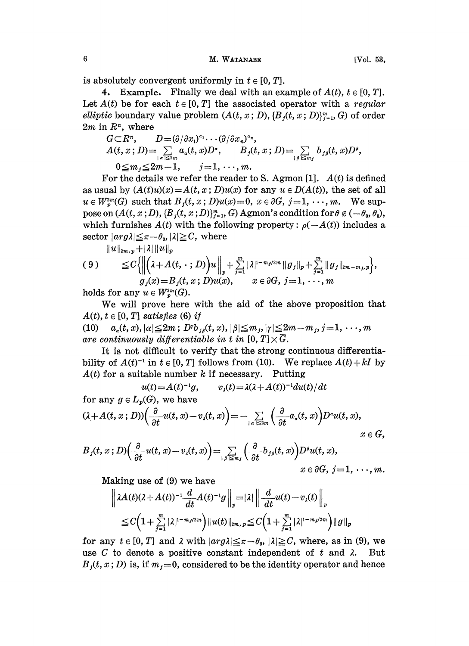M. WATANABE

is absolutely convergent uniformly in  $t \in [0, T]$ .

4. Example. Finally we deal with an example of  $A(t)$ ,  $t \in [0, T]$ . Let  $A(t)$  be for each  $t \in [0, T]$  the associated operator with a regular elliptic boundary value problem  $(A(t, x; D), \{B_i(t, x; D)\}_{i=1}^m, G)$  of order  $2m$  in  $\mathbb{R}^n$ , where

$$
G \subset R^n, \qquad D = (\partial/\partial x_1)^{a_1} \cdots (\partial/\partial x_n)^{a_n},
$$
  
\n
$$
A(t, x; D) = \sum_{\substack{|a| \le 2m \\ a \le m}} a_a(t, x) D^a, \qquad B_j(t, x; D) = \sum_{\substack{|b| \le m \\ b \le m}} b_{j\beta}(t, x) D^{\beta},
$$
  
\n
$$
0 \le m_j \le 2m - 1, \qquad j = 1, \cdots, m.
$$

For the details we refer the reader to S. Agmon [1].  $A(t)$  is defined as usual by  $(A(t)u)(x) = A(t, x; D)u(x)$  for any  $u \in D(A(t))$ , the set of all  $u \in W_p^{2m}(G)$  such that  $B_j(t, x; D)u(x) = 0$ ,  $x \in \partial G$ ,  $j = 1, \dots, m$ . We suppose on  $(A(t, x; D), \{B_j(t, x; D)\}_{j=1}^m, G)$  Agmon's condition for  $\theta \notin (-\theta_0, \theta_0)$ , which furnishes  $A(t)$  with the following property:  $\rho(-A(t))$  includes a sector  $|arg \lambda| \leq \pi - \theta_0$ ,  $|\lambda| \geq C$ , where

$$
(9) \quad \leq C \Big\{ \Big\| \big( \lambda + A(t, \cdot \, ; D) \big) u \Big\|_p + \sum_{j=1}^m |\lambda|^{1-m_j/2m} \| g_j \|_p + \sum_{j=1}^m \| g_j \|_{2m-m_j,p} \Big\},
$$
  

$$
g_j(x) = B_j(t, x; D) u(x), \quad x \in \partial G, \ j = 1, \ \cdots, m
$$

holds for any  $u \in W_p^{2m}(G)$ .

We will prove here with the aid of the above proposition that  $A(t), t \in [0, T]$  satisfies (6) if

(10)  $a_{\alpha}(t, x), |\alpha| \leq 2m$ ;  $D^{r}b_{\beta}(t, x), |\beta| \leq m_{\beta}, |\gamma| \leq 2m-m_{\beta}, j=1, \cdots, m$ 

are continuously differentiable in  $\vec{t}$  i<br>It is not difficult to verify that bility of  $A(t)^{-1}$  in  $t \in [0, T]$  follows from (10). We replace  $A(t) + kI$  by  $A(t)$  for a suitable number k if necessary. Putting  $A(t)$  for a suitable number k if necessary. Putting

$$
u(t) = A(t)^{-1}g, \qquad v_{\lambda}(t) = \lambda(\lambda + A(t))^{-1}du(t)/dt
$$

for any 
$$
g \in L_p(G)
$$
, we have  
\n
$$
(\lambda + A(t, x; D))\left(\frac{\partial}{\partial t}u(t, x) - v_\lambda(t, x)\right) = -\sum_{\substack{|a| \leq 2m}} \left(\frac{\partial}{\partial t}a_a(t, x)\right)D^{\alpha}u(t, x),
$$
\n $x \in G,$ 

$$
B_j(t,x;D)\left(\frac{\partial}{\partial t}u(t,x)-v_x(t,x)\right)=\sum_{|\beta|\leq m_j}\left(\frac{\partial}{\partial t}b_{j\beta}(t,x)\right)D^{\beta}u(t,x),\newline x\in\partial G,\; j=1,\;\cdots,m.
$$

Making use of  $(9)$  we have

$$
\left|\lambda A(t)(\lambda+A(t))^{-1}\frac{d}{dt}A(t)^{-1}g\right\|_{p} = |\lambda|\left\|\frac{d}{dt}u(t)-v_{\lambda}(t)\right\|_{p}
$$
  
\n
$$
\leq C\left(1+\sum_{j=1}^{m}|\lambda|^{1-m_{j}/2m}\right)\|u(t)\|_{2m,\,p} \leq C\left(1+\sum_{j=1}^{m}|\lambda|^{1-m_{j}/2m}\right)\|g\|_{p}
$$

for any  $t \in [0, T]$  and  $\lambda$  with  $|arg \lambda| \leq \pi - \theta_0$ ,  $|\lambda| \geq C$ , where, as in (9), we use C to denote a positive constant independent of t and  $\lambda$ . But  $B<sub>j</sub>(t, x; D)$  is, if  $m<sub>j</sub>=0$ , considered to be the identity operator and hence